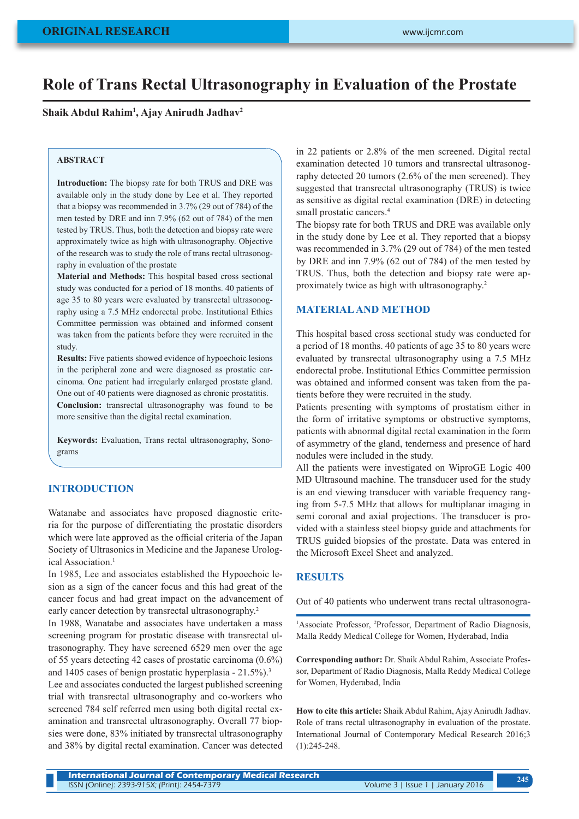# **Role of Trans Rectal Ultrasonography in Evaluation of the Prostate**

**Shaik Abdul Rahim1 , Ajay Anirudh Jadhav2**

# **ABSTRACT**

**Introduction:** The biopsy rate for both TRUS and DRE was available only in the study done by Lee et al. They reported that a biopsy was recommended in 3.7% (29 out of 784) of the men tested by DRE and inn 7.9% (62 out of 784) of the men tested by TRUS. Thus, both the detection and biopsy rate were approximately twice as high with ultrasonography. Objective of the research was to study the role of trans rectal ultrasonography in evaluation of the prostate

**Material and Methods:** This hospital based cross sectional study was conducted for a period of 18 months. 40 patients of age 35 to 80 years were evaluated by transrectal ultrasonography using a 7.5 MHz endorectal probe. Institutional Ethics Committee permission was obtained and informed consent was taken from the patients before they were recruited in the study.

**Results:** Five patients showed evidence of hypoechoic lesions in the peripheral zone and were diagnosed as prostatic carcinoma. One patient had irregularly enlarged prostate gland. One out of 40 patients were diagnosed as chronic prostatitis. **Conclusion:** transrectal ultrasonography was found to be more sensitive than the digital rectal examination.

**Keywords:** Evaluation, Trans rectal ultrasonography, Sonograms

## **INTRODUCTION**

Watanabe and associates have proposed diagnostic criteria for the purpose of differentiating the prostatic disorders which were late approved as the official criteria of the Japan Society of Ultrasonics in Medicine and the Japanese Urological Association.<sup>1</sup>

In 1985, Lee and associates established the Hypoechoic lesion as a sign of the cancer focus and this had great of the cancer focus and had great impact on the advancement of early cancer detection by transrectal ultrasonography.<sup>2</sup>

In 1988, Wanatabe and associates have undertaken a mass screening program for prostatic disease with transrectal ultrasonography. They have screened 6529 men over the age of 55 years detecting 42 cases of prostatic carcinoma (0.6%) and 1405 cases of benign prostatic hyperplasia - 21.5%).3

Lee and associates conducted the largest published screening trial with transrectal ultrasonography and co-workers who screened 784 self referred men using both digital rectal examination and transrectal ultrasonography. Overall 77 biopsies were done, 83% initiated by transrectal ultrasonography and 38% by digital rectal examination. Cancer was detected in 22 patients or 2.8% of the men screened. Digital rectal examination detected 10 tumors and transrectal ultrasonography detected 20 tumors (2.6% of the men screened). They suggested that transrectal ultrasonography (TRUS) is twice as sensitive as digital rectal examination (DRE) in detecting small prostatic cancers.<sup>4</sup>

The biopsy rate for both TRUS and DRE was available only in the study done by Lee et al. They reported that a biopsy was recommended in 3.7% (29 out of 784) of the men tested by DRE and inn 7.9% (62 out of 784) of the men tested by TRUS. Thus, both the detection and biopsy rate were approximately twice as high with ultrasonography.2

#### **MATERIAL AND METHOD**

This hospital based cross sectional study was conducted for a period of 18 months. 40 patients of age 35 to 80 years were evaluated by transrectal ultrasonography using a 7.5 MHz endorectal probe. Institutional Ethics Committee permission was obtained and informed consent was taken from the patients before they were recruited in the study.

Patients presenting with symptoms of prostatism either in the form of irritative symptoms or obstructive symptoms, patients with abnormal digital rectal examination in the form of asymmetry of the gland, tenderness and presence of hard nodules were included in the study.

All the patients were investigated on WiproGE Logic 400 MD Ultrasound machine. The transducer used for the study is an end viewing transducer with variable frequency ranging from 5-7.5 MHz that allows for multiplanar imaging in semi coronal and axial projections. The transducer is provided with a stainless steel biopsy guide and attachments for TRUS guided biopsies of the prostate. Data was entered in the Microsoft Excel Sheet and analyzed.

#### **RESULTS**

Out of 40 patients who underwent trans rectal ultrasonogra-

<sup>1</sup>Associate Professor, <sup>2</sup>Professor, Department of Radio Diagnosis, Malla Reddy Medical College for Women, Hyderabad, India

**Corresponding author:** Dr. Shaik Abdul Rahim, Associate Professor, Department of Radio Diagnosis, Malla Reddy Medical College for Women, Hyderabad, India

**How to cite this article:** Shaik Abdul Rahim, Ajay Anirudh Jadhav. Role of trans rectal ultrasonography in evaluation of the prostate. International Journal of Contemporary Medical Research 2016;3 (1):245-248.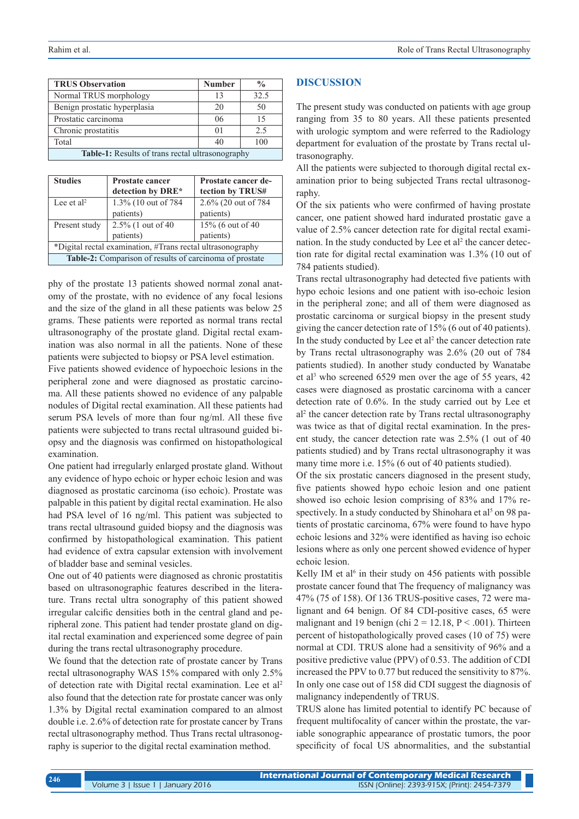| <b>TRUS Observation</b>                                 | <b>Number</b> | $\frac{0}{0}$ |  |
|---------------------------------------------------------|---------------|---------------|--|
| Normal TRUS morphology                                  | 13            | 32.5          |  |
| Benign prostatic hyperplasia                            | 20            | 50            |  |
| Prostatic carcinoma                                     | 06            | 15            |  |
| Chronic prostatitis                                     | 01            | 2.5           |  |
| Total                                                   | 40            | 100           |  |
| <b>Table-1:</b> Results of trans rectal ultrasonography |               |               |  |

**Table-1:** Results of trans rectal ultrasonography

| <b>Studies</b>                                             | <b>Prostate cancer</b><br>detection by DRE* | Prostate cancer de-<br>tection by TRUS# |  |
|------------------------------------------------------------|---------------------------------------------|-----------------------------------------|--|
| Lee et al <sup>2</sup>                                     | 1.3% (10 out of 784)                        | 2.6% (20 out of 784)                    |  |
|                                                            | patients)                                   | patients)                               |  |
| Present study                                              | 2.5% (1 out of 40                           | 15% (6 out of 40                        |  |
|                                                            | patients)                                   | patients)                               |  |
| *Digital rectal examination, #Trans rectal ultrasonography |                                             |                                         |  |
| Table-2: Comparison of results of carcinoma of prostate    |                                             |                                         |  |

phy of the prostate 13 patients showed normal zonal anatomy of the prostate, with no evidence of any focal lesions and the size of the gland in all these patients was below 25 grams. These patients were reported as normal trans rectal ultrasonography of the prostate gland. Digital rectal examination was also normal in all the patients. None of these patients were subjected to biopsy or PSA level estimation.

Five patients showed evidence of hypoechoic lesions in the peripheral zone and were diagnosed as prostatic carcinoma. All these patients showed no evidence of any palpable nodules of Digital rectal examination. All these patients had serum PSA levels of more than four ng/ml. All these five patients were subjected to trans rectal ultrasound guided biopsy and the diagnosis was confirmed on histopathological examination.

One patient had irregularly enlarged prostate gland. Without any evidence of hypo echoic or hyper echoic lesion and was diagnosed as prostatic carcinoma (iso echoic). Prostate was palpable in this patient by digital rectal examination. He also had PSA level of 16 ng/ml. This patient was subjected to trans rectal ultrasound guided biopsy and the diagnosis was confirmed by histopathological examination. This patient had evidence of extra capsular extension with involvement of bladder base and seminal vesicles.

One out of 40 patients were diagnosed as chronic prostatitis based on ultrasonographic features described in the literature. Trans rectal ultra sonography of this patient showed irregular calcific densities both in the central gland and peripheral zone. This patient had tender prostate gland on digital rectal examination and experienced some degree of pain during the trans rectal ultrasonography procedure.

We found that the detection rate of prostate cancer by Trans rectal ultrasonography WAS 15% compared with only 2.5% of detection rate with Digital rectal examination. Lee et al2 also found that the detection rate for prostate cancer was only 1.3% by Digital rectal examination compared to an almost double i.e. 2.6% of detection rate for prostate cancer by Trans rectal ultrasonography method. Thus Trans rectal ultrasonography is superior to the digital rectal examination method.

# **DISCUSSION**

The present study was conducted on patients with age group ranging from 35 to 80 years. All these patients presented with urologic symptom and were referred to the Radiology department for evaluation of the prostate by Trans rectal ultrasonography.

All the patients were subjected to thorough digital rectal examination prior to being subjected Trans rectal ultrasonography.

Of the six patients who were confirmed of having prostate cancer, one patient showed hard indurated prostatic gave a value of 2.5% cancer detection rate for digital rectal examination. In the study conducted by Lee et al<sup>2</sup> the cancer detection rate for digital rectal examination was 1.3% (10 out of 784 patients studied).

Trans rectal ultrasonography had detected five patients with hypo echoic lesions and one patient with iso-echoic lesion in the peripheral zone; and all of them were diagnosed as prostatic carcinoma or surgical biopsy in the present study giving the cancer detection rate of 15% (6 out of 40 patients). In the study conducted by Lee et  $al<sup>2</sup>$  the cancer detection rate by Trans rectal ultrasonography was 2.6% (20 out of 784 patients studied). In another study conducted by Wanatabe et al<sup>3</sup> who screened 6529 men over the age of 55 years, 42 cases were diagnosed as prostatic carcinoma with a cancer detection rate of 0.6%. In the study carried out by Lee et al2 the cancer detection rate by Trans rectal ultrasonography was twice as that of digital rectal examination. In the present study, the cancer detection rate was 2.5% (1 out of 40 patients studied) and by Trans rectal ultrasonography it was many time more i.e. 15% (6 out of 40 patients studied).

Of the six prostatic cancers diagnosed in the present study, five patients showed hypo echoic lesion and one patient showed iso echoic lesion comprising of 83% and 17% respectively. In a study conducted by Shinohara et al<sup>5</sup> on 98 patients of prostatic carcinoma, 67% were found to have hypo echoic lesions and 32% were identified as having iso echoic lesions where as only one percent showed evidence of hyper echoic lesion.

Kelly IM et al<sup>6</sup> in their study on 456 patients with possible prostate cancer found that The frequency of malignancy was 47% (75 of 158). Of 136 TRUS-positive cases, 72 were malignant and 64 benign. Of 84 CDI-positive cases, 65 were malignant and 19 benign (chi  $2 = 12.18$ ,  $P < .001$ ). Thirteen percent of histopathologically proved cases (10 of 75) were normal at CDI. TRUS alone had a sensitivity of 96% and a positive predictive value (PPV) of 0.53. The addition of CDI increased the PPV to 0.77 but reduced the sensitivity to 87%. In only one case out of 158 did CDI suggest the diagnosis of malignancy independently of TRUS.

TRUS alone has limited potential to identify PC because of frequent multifocality of cancer within the prostate, the variable sonographic appearance of prostatic tumors, the poor specificity of focal US abnormalities, and the substantial